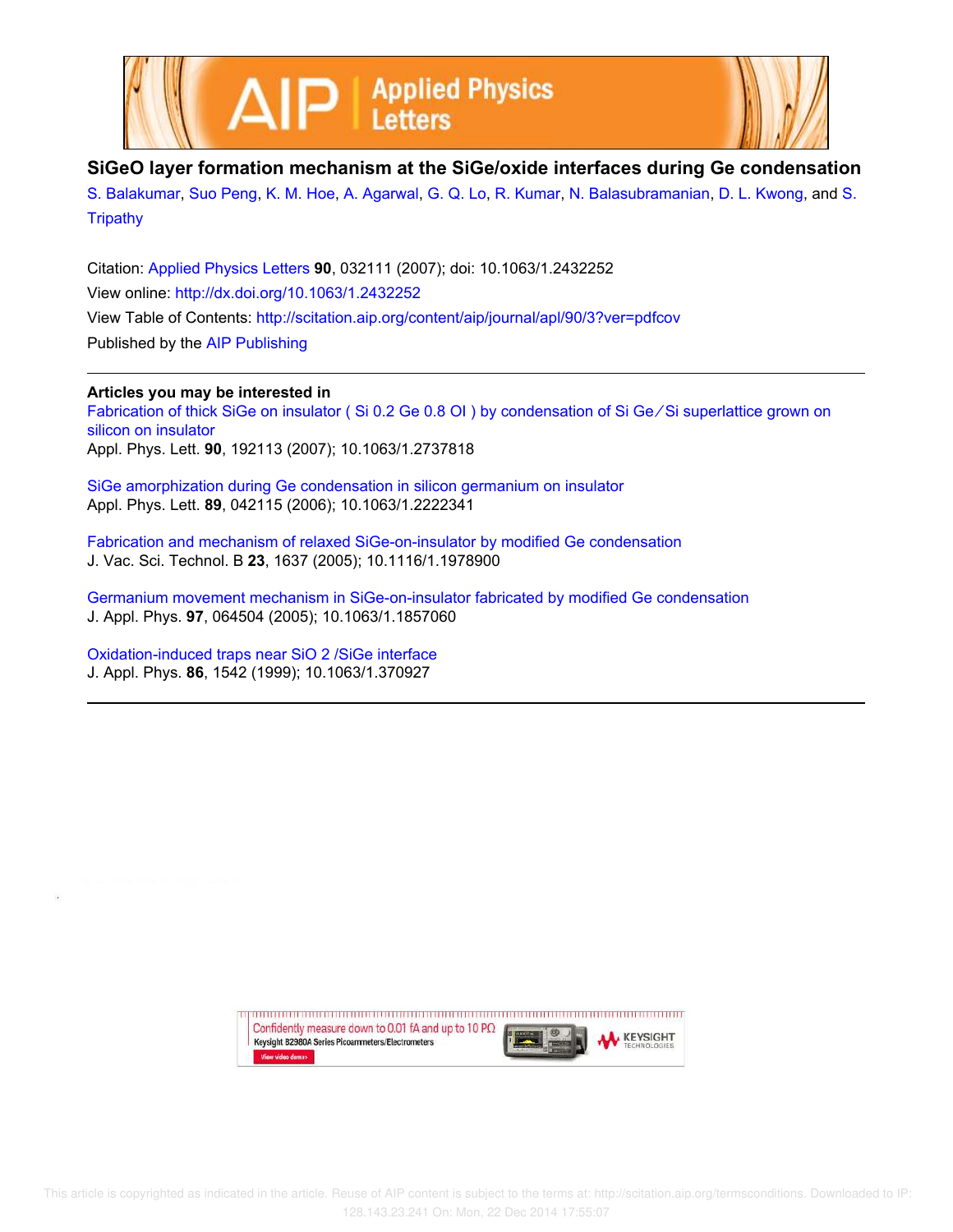



## **SiGeO layer formation mechanism at the SiGe/oxide interfaces during Ge condensation**

S. Balakumar, Suo Peng, K. M. Hoe, A. Agarwal, G. Q. Lo, R. Kumar, N. Balasubramanian, D. L. Kwong, and S. **Tripathy** 

Citation: Applied Physics Letters **90**, 032111 (2007); doi: 10.1063/1.2432252 View online: http://dx.doi.org/10.1063/1.2432252 View Table of Contents: http://scitation.aip.org/content/aip/journal/apl/90/3?ver=pdfcov Published by the AIP Publishing

## **Articles you may be interested in**

Fabrication of thick SiGe on insulator ( Si 0.2 Ge 0.8 OI ) by condensation of Si Ge ∕ Si superlattice grown on silicon on insulator Appl. Phys. Lett. **90**, 192113 (2007); 10.1063/1.2737818

SiGe amorphization during Ge condensation in silicon germanium on insulator Appl. Phys. Lett. **89**, 042115 (2006); 10.1063/1.2222341

Fabrication and mechanism of relaxed SiGe-on-insulator by modified Ge condensation J. Vac. Sci. Technol. B **23**, 1637 (2005); 10.1116/1.1978900

Germanium movement mechanism in SiGe-on-insulator fabricated by modified Ge condensation J. Appl. Phys. **97**, 064504 (2005); 10.1063/1.1857060

Oxidation-induced traps near SiO 2 /SiGe interface J. Appl. Phys. **86**, 1542 (1999); 10.1063/1.370927

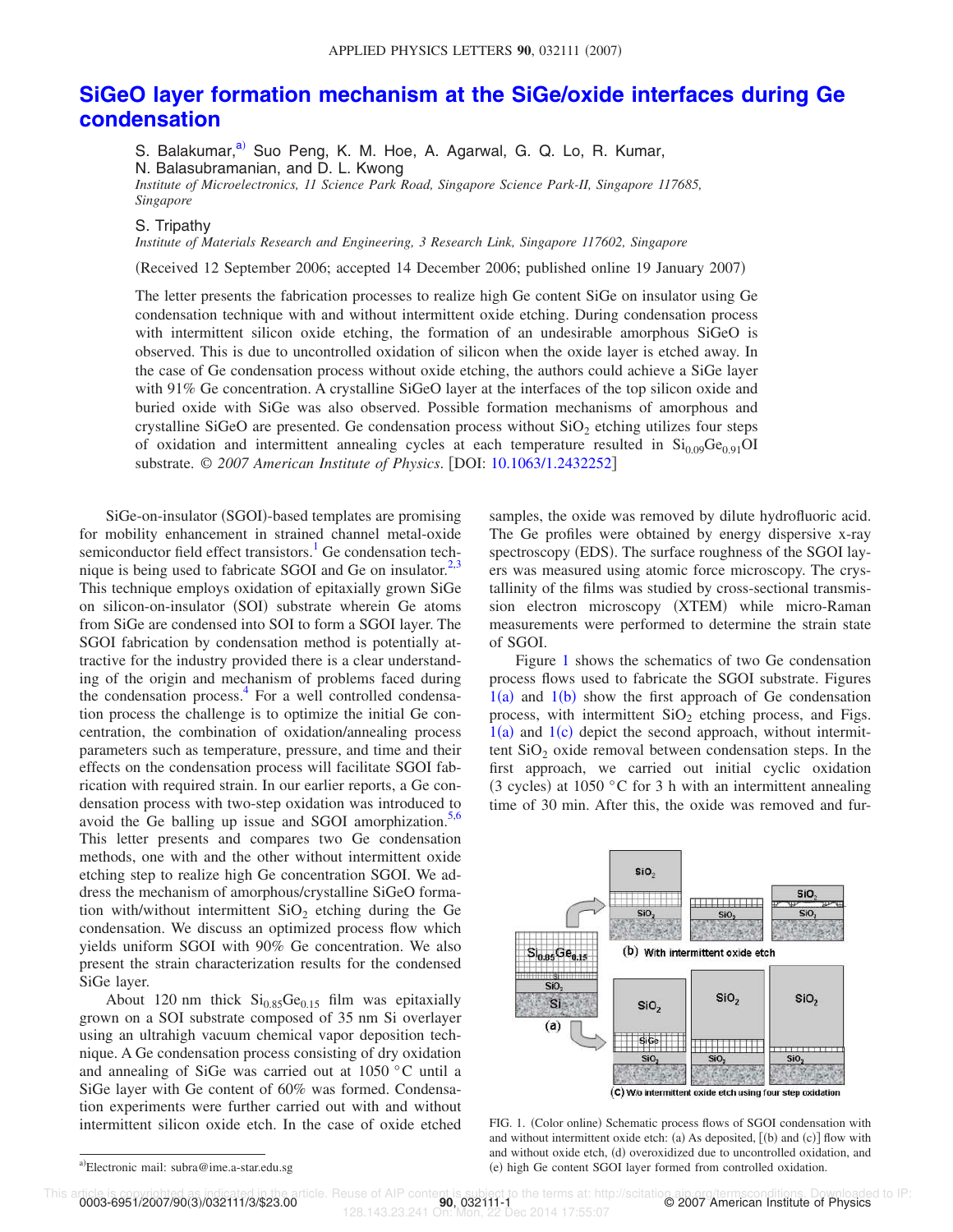## **SiGeO layer formation mechanism at the SiGe/oxide interfaces during Ge condensation**

S. Balakumar,<sup>a)</sup> Suo Peng, K. M. Hoe, A. Agarwal, G. Q. Lo, R. Kumar,

N. Balasubramanian, and D. L. Kwong

*Institute of Microelectronics, 11 Science Park Road, Singapore Science Park-II, Singapore 117685, Singapore*

## S. Tripathy

*Institute of Materials Research and Engineering, 3 Research Link, Singapore 117602, Singapore*

Received 12 September 2006; accepted 14 December 2006; published online 19 January 2007-

The letter presents the fabrication processes to realize high Ge content SiGe on insulator using Ge condensation technique with and without intermittent oxide etching. During condensation process with intermittent silicon oxide etching, the formation of an undesirable amorphous SiGeO is observed. This is due to uncontrolled oxidation of silicon when the oxide layer is etched away. In the case of Ge condensation process without oxide etching, the authors could achieve a SiGe layer with 91% Ge concentration. A crystalline SiGeO layer at the interfaces of the top silicon oxide and buried oxide with SiGe was also observed. Possible formation mechanisms of amorphous and crystalline SiGeO are presented. Ge condensation process without  $SiO<sub>2</sub>$  etching utilizes four steps of oxidation and intermittent annealing cycles at each temperature resulted in  $Si<sub>0.09</sub>Ge<sub>0.91</sub>OH$ substrate. © *2007 American Institute of Physics*. DOI: 10.1063/1.2432252

SiGe-on-insulator (SGOI)-based templates are promising for mobility enhancement in strained channel metal-oxide semiconductor field effect transistors.<sup>1</sup> Ge condensation technique is being used to fabricate SGOI and Ge on insulator. $2,3$ This technique employs oxidation of epitaxially grown SiGe on silicon-on-insulator (SOI) substrate wherein Ge atoms from SiGe are condensed into SOI to form a SGOI layer. The SGOI fabrication by condensation method is potentially attractive for the industry provided there is a clear understanding of the origin and mechanism of problems faced during the condensation process.<sup>4</sup> For a well controlled condensation process the challenge is to optimize the initial Ge concentration, the combination of oxidation/annealing process parameters such as temperature, pressure, and time and their effects on the condensation process will facilitate SGOI fabrication with required strain. In our earlier reports, a Ge condensation process with two-step oxidation was introduced to avoid the Ge balling up issue and SGOI amorphization. $5,6$ This letter presents and compares two Ge condensation methods, one with and the other without intermittent oxide etching step to realize high Ge concentration SGOI. We address the mechanism of amorphous/crystalline SiGeO formation with/without intermittent  $SiO<sub>2</sub>$  etching during the Ge condensation. We discuss an optimized process flow which yields uniform SGOI with 90% Ge concentration. We also present the strain characterization results for the condensed SiGe layer.

About 120 nm thick  $Si<sub>0.85</sub>Ge<sub>0.15</sub>$  film was epitaxially grown on a SOI substrate composed of 35 nm Si overlayer using an ultrahigh vacuum chemical vapor deposition technique. A Ge condensation process consisting of dry oxidation and annealing of SiGe was carried out at 1050 °C until a SiGe layer with Ge content of 60% was formed. Condensation experiments were further carried out with and without intermittent silicon oxide etch. In the case of oxide etched samples, the oxide was removed by dilute hydrofluoric acid. The Ge profiles were obtained by energy dispersive x-ray spectroscopy (EDS). The surface roughness of the SGOI layers was measured using atomic force microscopy. The crystallinity of the films was studied by cross-sectional transmission electron microscopy (XTEM) while micro-Raman measurements were performed to determine the strain state of SGOI.

Figure 1 shows the schematics of two Ge condensation process flows used to fabricate the SGOI substrate. Figures  $1(a)$  and  $1(b)$  show the first approach of Ge condensation process, with intermittent  $SiO<sub>2</sub>$  etching process, and Figs.  $1(a)$  and  $1(c)$  depict the second approach, without intermittent  $SiO<sub>2</sub>$  oxide removal between condensation steps. In the first approach, we carried out initial cyclic oxidation (3 cycles) at 1050 °C for 3 h with an intermittent annealing time of 30 min. After this, the oxide was removed and fur-



FIG. 1. (Color online) Schematic process flows of SGOI condensation with and without intermittent oxide etch: (a) As deposited,  $[(b)$  and  $(c)]$  flow with and without oxide etch, (d) overoxidized due to uncontrolled oxidation, and (e) high Ge content SGOI layer formed from controlled oxidation.

0003-6951/2007/90(3)/032111/3/\$23.00

128.143.23.241 On: Mon, 22 Dec 2014 17:55:07

a)Electronic mail: subra@ime.a-star.edu.sg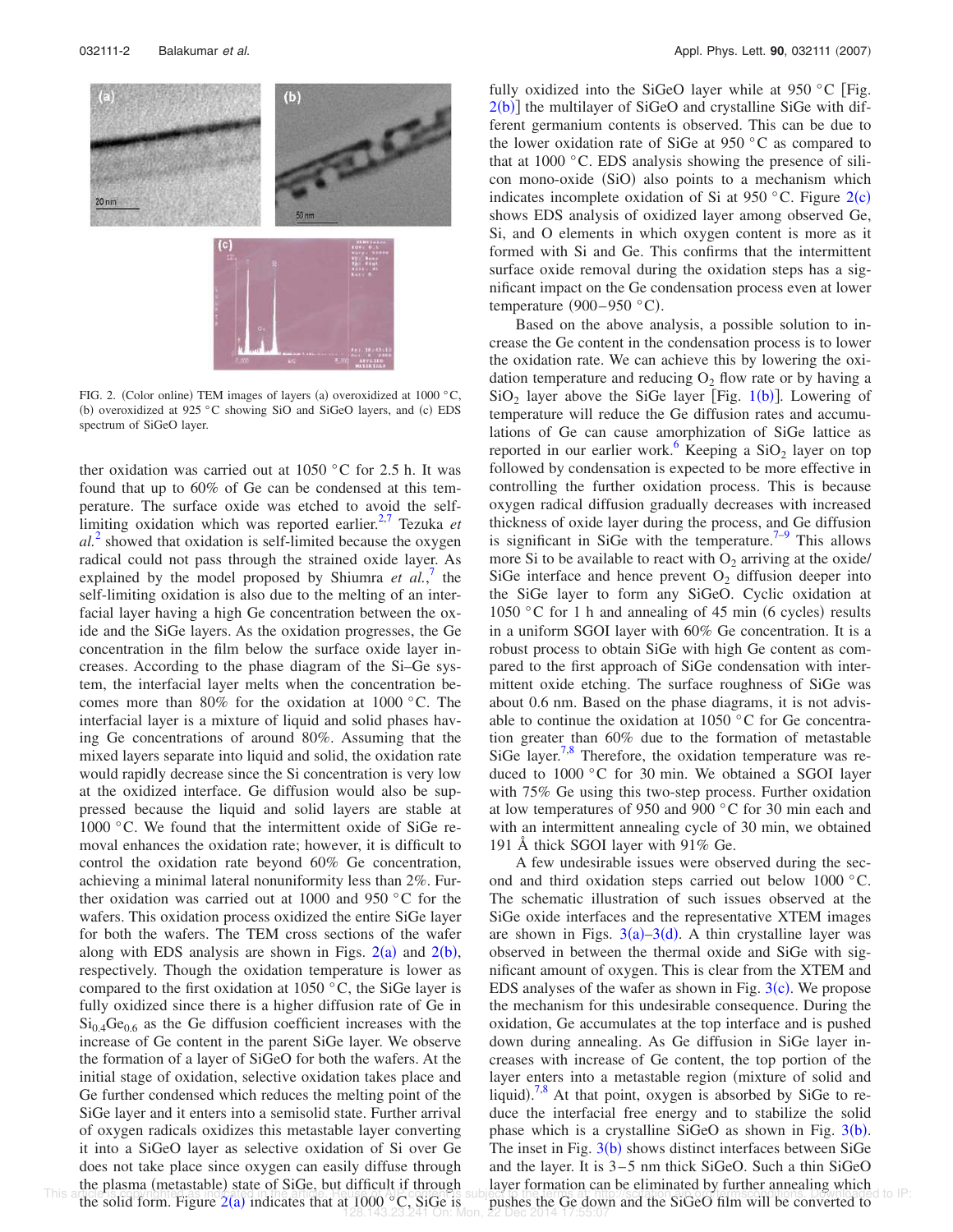

FIG. 2. (Color online) TEM images of layers (a) overoxidized at 1000 °C, (b) overoxidized at 925 °C showing SiO and SiGeO layers, and (c) EDS spectrum of SiGeO layer.

ther oxidation was carried out at  $1050\degree$ C for 2.5 h. It was found that up to 60% of Ge can be condensed at this temperature. The surface oxide was etched to avoid the selflimiting oxidation which was reported earlier.<sup>2,7</sup> Tezuka et  $al<sup>2</sup>$  showed that oxidation is self-limited because the oxygen radical could not pass through the strained oxide layer. As explained by the model proposed by Shiumra  $et$   $al$ <sup>7</sup>, the self-limiting oxidation is also due to the melting of an interfacial layer having a high Ge concentration between the oxide and the SiGe layers. As the oxidation progresses, the Ge concentration in the film below the surface oxide layer increases. According to the phase diagram of the Si–Ge system, the interfacial layer melts when the concentration becomes more than 80% for the oxidation at 1000 °C. The interfacial layer is a mixture of liquid and solid phases having Ge concentrations of around 80%. Assuming that the mixed layers separate into liquid and solid, the oxidation rate would rapidly decrease since the Si concentration is very low at the oxidized interface. Ge diffusion would also be suppressed because the liquid and solid layers are stable at 1000 °C. We found that the intermittent oxide of SiGe removal enhances the oxidation rate; however, it is difficult to control the oxidation rate beyond 60% Ge concentration, achieving a minimal lateral nonuniformity less than 2%. Further oxidation was carried out at 1000 and 950 °C for the wafers. This oxidation process oxidized the entire SiGe layer for both the wafers. The TEM cross sections of the wafer along with EDS analysis are shown in Figs.  $2(a)$  and  $2(b)$ , respectively. Though the oxidation temperature is lower as compared to the first oxidation at 1050  $\degree$ C, the SiGe layer is fully oxidized since there is a higher diffusion rate of Ge in  $Si<sub>0.4</sub>Ge<sub>0.6</sub>$  as the Ge diffusion coefficient increases with the increase of Ge content in the parent SiGe layer. We observe the formation of a layer of SiGeO for both the wafers. At the initial stage of oxidation, selective oxidation takes place and Ge further condensed which reduces the melting point of the SiGe layer and it enters into a semisolid state. Further arrival of oxygen radicals oxidizes this metastable layer converting it into a SiGeO layer as selective oxidation of Si over Ge does not take place since oxygen can easily diffuse through the plasma (metastable) state of SiGe, but difficult if through

fully oxidized into the SiGeO layer while at  $950 °C$  [Fig.  $2(b)$ ] the multilayer of SiGeO and crystalline SiGe with different germanium contents is observed. This can be due to the lower oxidation rate of SiGe at 950 °C as compared to that at 1000 °C. EDS analysis showing the presence of silicon mono-oxide (SiO) also points to a mechanism which indicates incomplete oxidation of Si at 950 °C. Figure  $2(c)$ shows EDS analysis of oxidized layer among observed Ge, Si, and O elements in which oxygen content is more as it formed with Si and Ge. This confirms that the intermittent surface oxide removal during the oxidation steps has a significant impact on the Ge condensation process even at lower temperature  $(900-950 \degree C)$ .

Based on the above analysis, a possible solution to increase the Ge content in the condensation process is to lower the oxidation rate. We can achieve this by lowering the oxidation temperature and reducing  $O_2$  flow rate or by having a  $SiO<sub>2</sub>$  layer above the SiGe layer [Fig. 1(b)]. Lowering of temperature will reduce the Ge diffusion rates and accumulations of Ge can cause amorphization of SiGe lattice as reported in our earlier work.<sup>6</sup> Keeping a  $SiO<sub>2</sub>$  layer on top followed by condensation is expected to be more effective in controlling the further oxidation process. This is because oxygen radical diffusion gradually decreases with increased thickness of oxide layer during the process, and Ge diffusion is significant in SiGe with the temperature.<sup>7-9</sup> This allows more Si to be available to react with  $O_2$  arriving at the oxide/ SiGe interface and hence prevent  $O<sub>2</sub>$  diffusion deeper into the SiGe layer to form any SiGeO. Cyclic oxidation at 1050 °C for 1 h and annealing of 45 min (6 cycles) results in a uniform SGOI layer with 60% Ge concentration. It is a robust process to obtain SiGe with high Ge content as compared to the first approach of SiGe condensation with intermittent oxide etching. The surface roughness of SiGe was about 0.6 nm. Based on the phase diagrams, it is not advisable to continue the oxidation at 1050 °C for Ge concentration greater than 60% due to the formation of metastable SiGe layer.<sup>7,8</sup> Therefore, the oxidation temperature was reduced to 1000 °C for 30 min. We obtained a SGOI layer with 75% Ge using this two-step process. Further oxidation at low temperatures of 950 and 900 °C for 30 min each and with an intermittent annealing cycle of 30 min, we obtained 191 Å thick SGOI layer with 91% Ge.

This anticipatement in the solid form. Figure 2(a) indicates that at 1000  $^{\circ}$ C. SiGe is pushes the Ge down and the SiGeO film will be converted to A few undesirable issues were observed during the second and third oxidation steps carried out below 1000 °C. The schematic illustration of such issues observed at the SiGe oxide interfaces and the representative XTEM images are shown in Figs.  $3(a) - 3(d)$ . A thin crystalline layer was observed in between the thermal oxide and SiGe with significant amount of oxygen. This is clear from the XTEM and EDS analyses of the wafer as shown in Fig.  $3(c)$ . We propose the mechanism for this undesirable consequence. During the oxidation, Ge accumulates at the top interface and is pushed down during annealing. As Ge diffusion in SiGe layer increases with increase of Ge content, the top portion of the layer enters into a metastable region (mixture of solid and liquid).<sup>7,8</sup> At that point, oxygen is absorbed by SiGe to reduce the interfacial free energy and to stabilize the solid phase which is a crystalline SiGeO as shown in Fig.  $3(b)$ . The inset in Fig.  $3(b)$  shows distinct interfaces between SiGe and the layer. It is 3–5 nm thick SiGeO. Such a thin SiGeO layer formation can be eliminated by further annealing which t 1000 °C, SiGe is pushes the Ge down and the SiGeO film will be converted to  $28.241$  On: Mon,  $22 \text{ Dec } 2014$  17:55:07